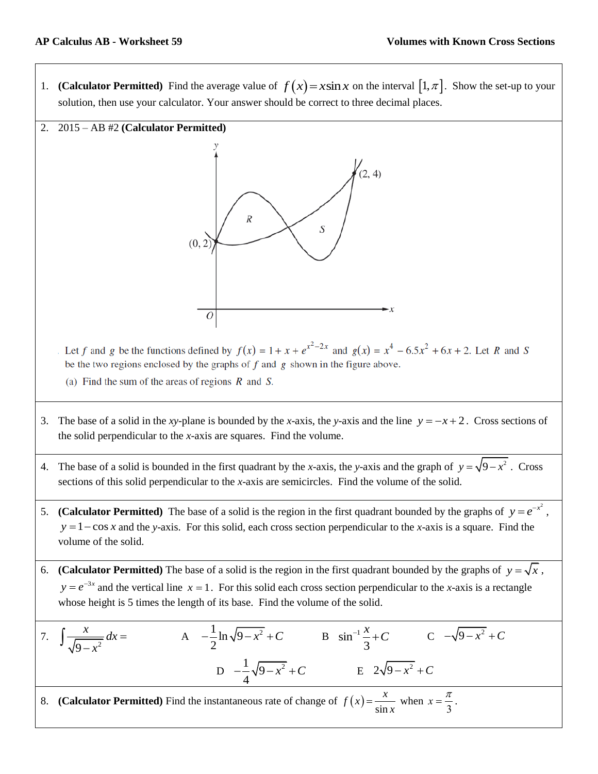1. **(Calculator Permitted)** Find the average value of  $f(x) = x \sin x$  on the interval  $[1, \pi]$ . Show the set-up to your solution, then use your calculator. Your answer should be correct to three decimal places.



Let f and g be the functions defined by  $f(x) = 1 + x + e^{x^2-2x}$  and  $g(x) = x^4 - 6.5x^2 + 6x + 2$ . Let R and S be the two regions enclosed by the graphs of  $f$  and  $g$  shown in the figure above.

- (a) Find the sum of the areas of regions  $R$  and  $S$ .
- 3. The base of a solid in the *xy*-plane is bounded by the *x*-axis, the *y*-axis and the line  $y = -x + 2$ . Cross sections of the solid perpendicular to the *x*-axis are squares. Find the volume.
- 4. The base of a solid is bounded in the first quadrant by the *x*-axis, the *y*-axis and the graph of  $y = \sqrt{9-x^2}$ . Cross sections of this solid perpendicular to the *x*-axis are semicircles. Find the volume of the solid.
- 5. (**Calculator Permitted**) The base of a solid is the region in the first quadrant bounded by the graphs of  $y = e^{-x^2}$ ,  $y = 1 - \cos x$  and the *y*-axis. For this solid, each cross section perpendicular to the *x*-axis is a square. Find the volume of the solid.
- 6. **(Calculator Permitted)** The base of a solid is the region in the first quadrant bounded by the graphs of  $y = \sqrt{x}$ ,  $y = e^{-3x}$  and the vertical line  $x = 1$ . For this solid each cross section perpendicular to the *x*-axis is a rectangle whose height is 5 times the length of its base. Find the volume of the solid.

7. 
$$
\int \frac{x}{\sqrt{9-x^2}} dx = \qquad \text{A} \quad -\frac{1}{2} \ln \sqrt{9-x^2} + C \qquad \text{B} \quad \sin^{-1} \frac{x}{3} + C \qquad \text{C} \quad -\sqrt{9-x^2} + C
$$
  
D. 
$$
\frac{1}{4} \sqrt{9-x^2} + C \qquad \text{E} \quad 2\sqrt{9-x^2} + C
$$
  
8. (Calculator Permitted) Find the instantaneous rate of change of  $f(x) = \frac{x}{\sin x}$  when  $x = \frac{\pi}{3}$ .